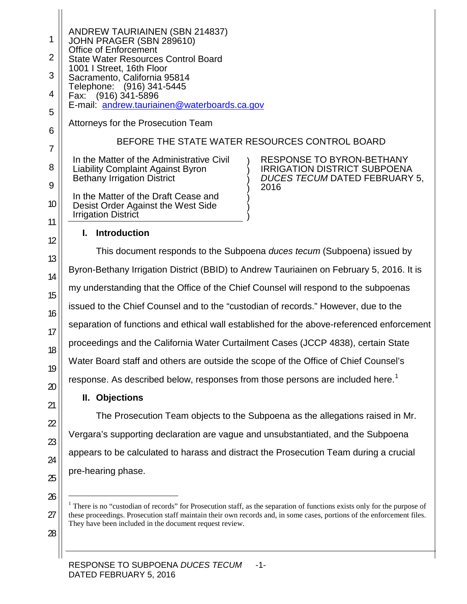1 2 3 4 5 6 7 8 9 10 11 12 13 14 15 16 17 18 19 20 21 22 23 24 25 26 27 ANDREW TAURIAINEN (SBN 214837) JOHN PRAGER (SBN 289610) Office of Enforcement State Water Resources Control Board 1001 I Street, 16th Floor Sacramento, California 95814 Telephone: (916) 341-5445 Fax: (916) 341-5896 E-mail: [andrew.tauriainen@waterboards.ca.gov](mailto:andrew.tauriainen@waterboards.ca.gov) Attorneys for the Prosecution Team BEFORE THE STATE WATER RESOURCES CONTROL BOARD In the Matter of the Administrative Civil Liability Complaint Against Byron Bethany Irrigation District In the Matter of the Draft Cease and Desist Order Against the West Side Irrigation District ) ) ) ) ) ) ) RESPONSE TO BYRON-BETHANY IRRIGATION DISTRICT SUBPOENA *DUCES TECUM* DATED FEBRUARY 5, 2016 **I. Introduction** This document responds to the Subpoena *duces tecum* (Subpoena) issued by Byron-Bethany Irrigation District (BBID) to Andrew Tauriainen on February 5, 2016. It is my understanding that the Office of the Chief Counsel will respond to the subpoenas issued to the Chief Counsel and to the "custodian of records." However, due to the separation of functions and ethical wall established for the above-referenced enforcement proceedings and the California Water Curtailment Cases (JCCP 4838), certain State Water Board staff and others are outside the scope of the Office of Chief Counsel's response. As described below, responses from those persons are included here.<sup>[1](#page-0-0)</sup> **II. Objections** The Prosecution Team objects to the Subpoena as the allegations raised in Mr. Vergara's supporting declaration are vague and unsubstantiated, and the Subpoena appears to be calculated to harass and distract the Prosecution Team during a crucial pre-hearing phase. <sup>1</sup> There is no "custodian of records" for Prosecution staff, as the separation of functions exists only for the purpose of these proceedings. Prosecution staff maintain their own records and, in some cases, portions of the enforcement files. They have been included in the document request review.

<span id="page-0-0"></span>28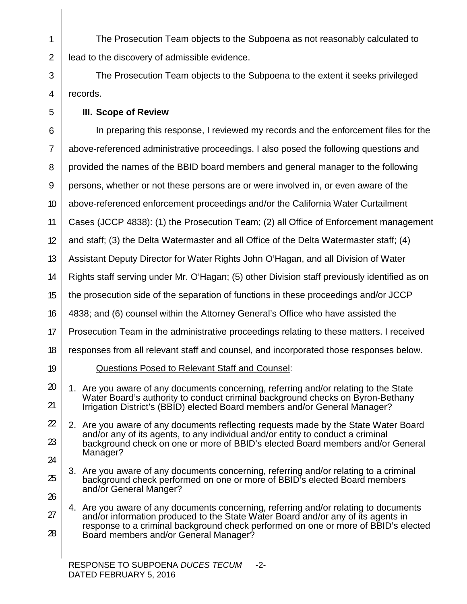The Prosecution Team objects to the Subpoena as not reasonably calculated to lead to the discovery of admissible evidence.

The Prosecution Team objects to the Subpoena to the extent it seeks privileged records.

## **III. Scope of Review**

1

2

3

4

5

6 7 8 9 10 11 12 13 14 15 16 17 18 19 20 21 22 23 24 25 26 27 28 In preparing this response, I reviewed my records and the enforcement files for the above-referenced administrative proceedings. I also posed the following questions and provided the names of the BBID board members and general manager to the following persons, whether or not these persons are or were involved in, or even aware of the above-referenced enforcement proceedings and/or the California Water Curtailment Cases (JCCP 4838): (1) the Prosecution Team; (2) all Office of Enforcement management and staff; (3) the Delta Watermaster and all Office of the Delta Watermaster staff; (4) Assistant Deputy Director for Water Rights John O'Hagan, and all Division of Water Rights staff serving under Mr. O'Hagan; (5) other Division staff previously identified as on the prosecution side of the separation of functions in these proceedings and/or JCCP 4838; and (6) counsel within the Attorney General's Office who have assisted the Prosecution Team in the administrative proceedings relating to these matters. I received responses from all relevant staff and counsel, and incorporated those responses below. Questions Posed to Relevant Staff and Counsel: 1. Are you aware of any documents concerning, referring and/or relating to the State Water Board's authority to conduct criminal background checks on Byron-Bethany Irrigation District's (BBID) elected Board members and/or General Manager? 2. Are you aware of any documents reflecting requests made by the State Water Board and/or any of its agents, to any individual and/or entity to conduct a criminal background check on one or more of BBID's elected Board members and/or General Manager? 3. Are you aware of any documents concerning, referring and/or relating to a criminal background check performed on one or more of BBID's elected Board members and/or General Manger? 4. Are you aware of any documents concerning, referring and/or relating to documents and/or information produced to the State Water Board and/or any of its agents in response to a criminal background check performed on one or more of BBID's elected Board members and/or General Manager?